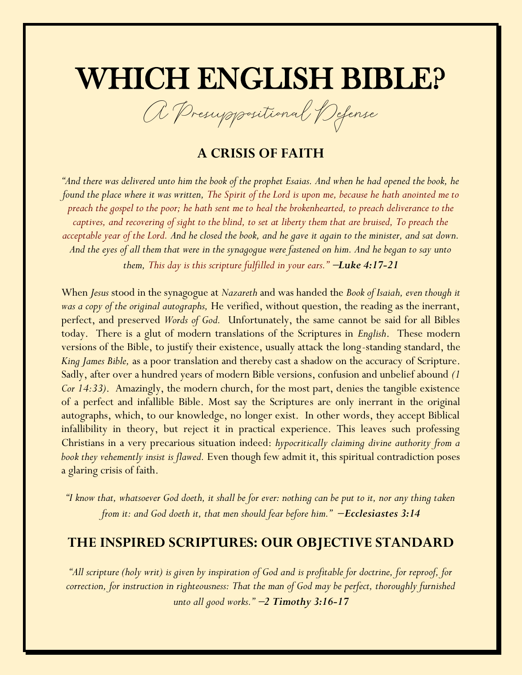# WHICH ENGLISH BIBLE?

A Presuppositional Defense

## **A CRISIS OF FAITH**

*"And there was delivered unto him the book of the prophet Esaias. And when he had opened the book, he found the place where it was written, The Spirit of the Lord is upon me, because he hath anointed me to preach the gospel to the poor; he hath sent me to heal the brokenhearted, to preach deliverance to the captives, and recovering of sight to the blind, to set at liberty them that are bruised, To preach the acceptable year of the Lord. And he closed the book, and he gave it again to the minister, and sat down. And the eyes of all them that were in the synagogue were fastened on him. And he began to say unto them, This day is this scripture fulfilled in your ears."* <sup>−</sup>*Luke 4:17-21*

When *Jesus* stood in the synagogue at *Nazareth* and was handed the *Book of Isaiah, even though it was a copy of the original autographs,* He verified, without question, the reading as the inerrant, perfect, and preserved *Words of God.* Unfortunately, the same cannot be said for all Bibles today. There is a glut of modern translations of the Scriptures in *English*. These modern versions of the Bible, to justify their existence, usually attack the long-standing standard, the *King James Bible,* as a poor translation and thereby cast a shadow on the accuracy of Scripture. Sadly, after over a hundred years of modern Bible versions, confusion and unbelief abound *(1 Cor 14:33)*. Amazingly, the modern church, for the most part, denies the tangible existence of a perfect and infallible Bible. Most say the Scriptures are only inerrant in the original autographs, which, to our knowledge, no longer exist. In other words, they accept Biblical infallibility in theory, but reject it in practical experience. This leaves such professing Christians in a very precarious situation indeed: *hypocritically claiming divine authority from a book they vehemently insist is flawed.* Even though few admit it, this spiritual contradiction poses a glaring crisis of faith.

*"I know that, whatsoever God doeth, it shall be for ever: nothing can be put to it, nor any thing taken from it: and God doeth it, that men should fear before him."* −*Ecclesiastes 3:14*

#### **THE INSPIRED SCRIPTURES: OUR OBJECTIVE STANDARD**

*"All scripture (holy writ) is given by inspiration of God and is profitable for doctrine, for reproof, for correction, for instruction in righteousness: That the man of God may be perfect, thoroughly furnished unto all good works."* −*2 Timothy 3:16-17*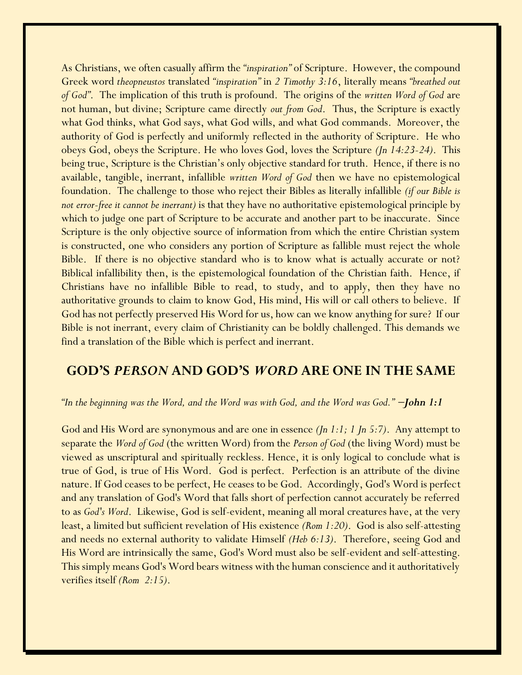As Christians, we often casually affirm the *"inspiration"* of Scripture. However, the compound Greek word *theopneustos* translated *"inspiration"* in *2 Timothy 3:16*, literally means *"breathed out of God"*. The implication of this truth is profound. The origins of the *written Word of God* are not human, but divine; Scripture came directly *out from God*. Thus, the Scripture is exactly what God thinks, what God says, what God wills, and what God commands. Moreover, the authority of God is perfectly and uniformly reflected in the authority of Scripture. He who obeys God, obeys the Scripture. He who loves God, loves the Scripture *(Jn 14:23-24)*. This being true, Scripture is the Christian's only objective standard for truth. Hence, if there is no available, tangible, inerrant, infallible *written Word of God* then we have no epistemological foundation. The challenge to those who reject their Bibles as literally infallible *(if our Bible is not error-free it cannot be inerrant)* is that they have no authoritative epistemological principle by which to judge one part of Scripture to be accurate and another part to be inaccurate. Since Scripture is the only objective source of information from which the entire Christian system is constructed, one who considers any portion of Scripture as fallible must reject the whole Bible. If there is no objective standard who is to know what is actually accurate or not? Biblical infallibility then, is the epistemological foundation of the Christian faith. Hence, if Christians have no infallible Bible to read, to study, and to apply, then they have no authoritative grounds to claim to know God, His mind, His will or call others to believe. If God has not perfectly preserved His Word for us, how can we know anything for sure? If our Bible is not inerrant, every claim of Christianity can be boldly challenged. This demands we find a translation of the Bible which is perfect and inerrant.

#### **GOD'S** *PERSON* **AND GOD'S** *WORD* **ARE ONE IN THE SAME**

*"In the beginning was the Word, and the Word was with God, and the Word was God."* −*John 1:1*

God and His Word are synonymous and are one in essence *(Jn 1:1; 1 Jn 5:7)*. Any attempt to separate the *Word of God* (the written Word) from the *Person of God* (the living Word) must be viewed as unscriptural and spiritually reckless. Hence, it is only logical to conclude what is true of God, is true of His Word. God is perfect. Perfection is an attribute of the divine nature. If God ceases to be perfect, He ceases to be God. Accordingly, God's Word is perfect and any translation of God's Word that falls short of perfection cannot accurately be referred to as *God's Word*. Likewise, God is self-evident, meaning all moral creatures have, at the very least, a limited but sufficient revelation of His existence *(Rom 1:20)*. God is also self-attesting and needs no external authority to validate Himself *(Heb 6:13)*. Therefore, seeing God and His Word are intrinsically the same, God's Word must also be self-evident and self-attesting. This simply means God's Word bears witness with the human conscience and it authoritatively verifies itself *(Rom 2:15)*.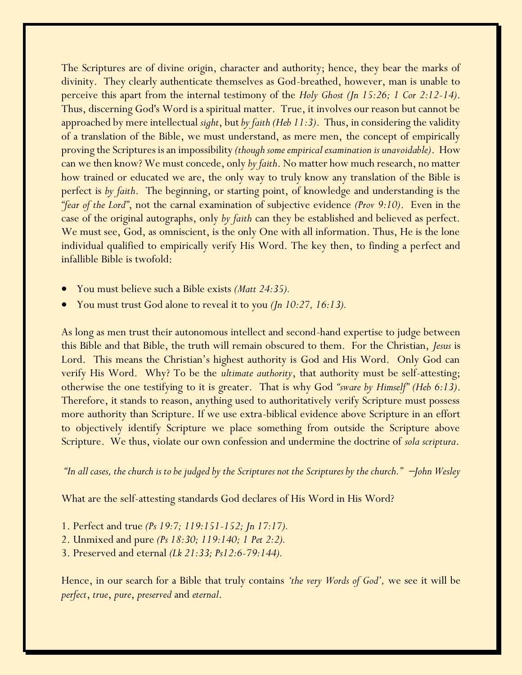The Scriptures are of divine origin, character and authority; hence, they bear the marks of divinity. They clearly authenticate themselves as God-breathed, however, man is unable to perceive this apart from the internal testimony of the *Holy Ghost (Jn 15:26; 1 Cor 2:12-14)*. Thus, discerning God's Word is a spiritual matter. True, it involves our reason but cannot be approached by mere intellectual *sight*, but *by faith (Heb 11:3)*. Thus, in considering the validity of a translation of the Bible, we must understand, as mere men, the concept of empirically proving the Scriptures is an impossibility *(though some empirical examination is unavoidable)*. How can we then know? We must concede, only *by faith*. No matter how much research, no matter how trained or educated we are, the only way to truly know any translation of the Bible is perfect is *by faith*. The beginning, or starting point, of knowledge and understanding is the *"fear of the Lord"*, not the carnal examination of subjective evidence *(Prov 9:10)*. Even in the case of the original autographs, only *by faith* can they be established and believed as perfect. We must see, God, as omniscient, is the only One with all information. Thus, He is the lone individual qualified to empirically verify His Word. The key then, to finding a perfect and infallible Bible is twofold:

- You must believe such a Bible exists *(Matt 24:35).*
- You must trust God alone to reveal it to you *(Jn 10:27, 16:13).*

As long as men trust their autonomous intellect and second-hand expertise to judge between this Bible and that Bible, the truth will remain obscured to them. For the Christian, *Jesus* is Lord. This means the Christian's highest authority is God and His Word. Only God can verify His Word. Why? To be the *ultimate authority*, that authority must be self-attesting; otherwise the one testifying to it is greater. That is why God *"sware by Himself" (Heb 6:13)*. Therefore, it stands to reason, anything used to authoritatively verify Scripture must possess more authority than Scripture. If we use extra-biblical evidence above Scripture in an effort to objectively identify Scripture we place something from outside the Scripture above Scripture. We thus, violate our own confession and undermine the doctrine of *sola scriptura*.

*"In all cases, the church is to be judged by the Scriptures not the Scriptures by the church."* <sup>−</sup>*John Wesley* 

What are the self-attesting standards God declares of His Word in His Word?

- 1. Perfect and true *(Ps 19:7; 119:151-152; Jn 17:17).*
- 2. Unmixed and pure *(Ps 18:30; 119:140; 1 Pet 2:2).*
- 3. Preserved and eternal *(Lk 21:33; Ps12:6-79:144).*

Hence, in our search for a Bible that truly contains *'the very Words of God',* we see it will be *perfect*, *true*, *pure*, *preserved* and *eternal*.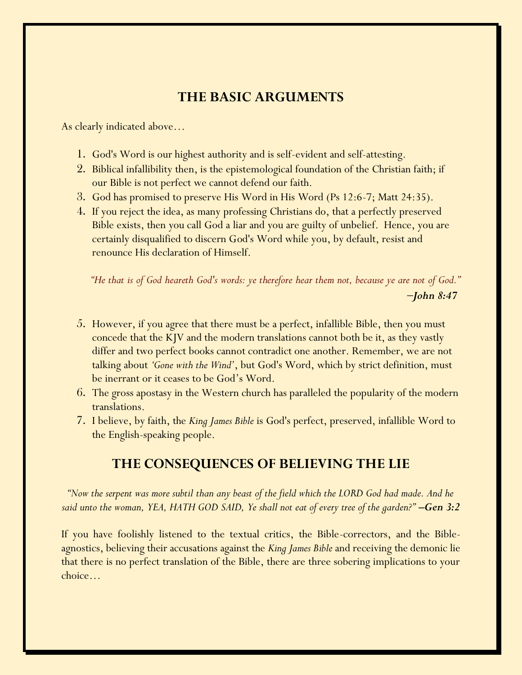# **THE BASIC ARGUMENTS**

As clearly indicated above…

- 1. God's Word is our highest authority and is self-evident and self-attesting.
- 2. Biblical infallibility then, is the epistemological foundation of the Christian faith; if our Bible is not perfect we cannot defend our faith.
- 3. God has promised to preserve His Word in His Word (Ps 12:6-7; Matt 24:35).
- 4. If you reject the idea, as many professing Christians do, that a perfectly preserved Bible exists, then you call God a liar and you are guilty of unbelief. Hence, you are certainly disqualified to discern God's Word while you, by default, resist and renounce His declaration of Himself.

 *"He that is of God heareth God's words: ye therefore hear them not, because ye are not of God." 000000000000000000000000000000000000000000000000000000000000000*−*John 8:47*

- 5. However, if you agree that there must be a perfect, infallible Bible, then you must concede that the KJV and the modern translations cannot both be it, as they vastly differ and two perfect books cannot contradict one another. Remember, we are not talking about *'Gone with the Wind'*, but God's Word, which by strict definition, must be inerrant or it ceases to be God's Word.
- 6. The gross apostasy in the Western church has paralleled the popularity of the modern translations.
- 7. I believe, by faith, the *King James Bible* is God's perfect, preserved, infallible Word to the English-speaking people.

### **THE CONSEQUENCES OF BELIEVING THE LIE**

*"Now the serpent was more subtil than any beast of the field which the LORD God had made. And he said unto the woman, YEA, HATH GOD SAID, Ye shall not eat of every tree of the garden?"* –*Gen 3:2* 

If you have foolishly listened to the textual critics, the Bible-correctors, and the Bibleagnostics, believing their accusations against the *King James Bible* and receiving the demonic lie that there is no perfect translation of the Bible, there are three sobering implications to your choice…